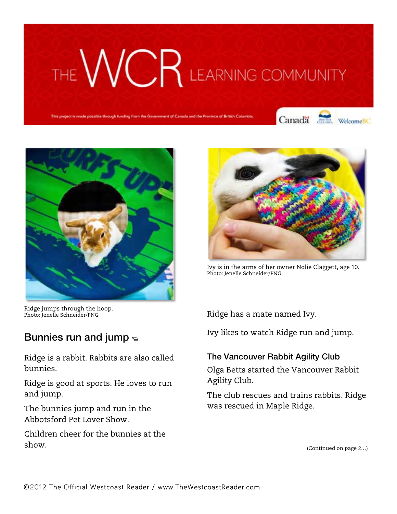# THE WCR LEARNING COMMUNITY

Canada WelcomeBC





Ridge jumps through the hoop. Photo: Jenelle Schneider/PNG

## Bunnies run and jump  $\epsilon$

Ridge is a rabbit. Rabbits are also called bunnies.

Ridge is good at sports. He loves to run and jump.

The bunnies jump and run in the Abbotsford Pet Lover Show.

Children cheer for the bunnies at the show.



Ivy is in the arms of her owner Nolie Claggett, age 10. Photo: Jenelle Schneider/PNG

Ridge has a mate named Ivy.

Ivy likes to watch Ridge run and jump.

#### The Vancouver Rabbit Agility Club

Olga Betts started the Vancouver Rabbit Agility Club.

The club rescues and trains rabbits. Ridge was rescued in Maple Ridge.

(Continued on page 2…)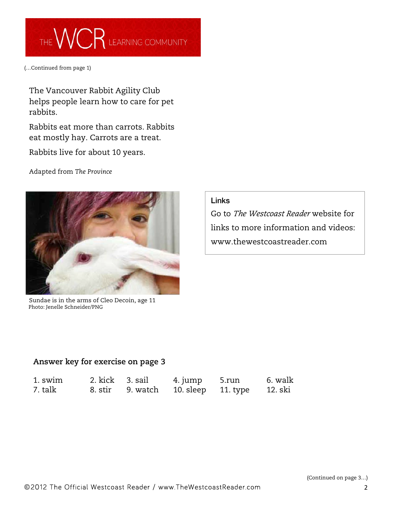

(…Continued from page 1)

The Vancouver Rabbit Agility Club helps people learn how to care for pet rabbits.

Rabbits eat more than carrots. Rabbits eat mostly hay. Carrots are a treat.

Rabbits live for about 10 years.

Adapted from *The Province*



 Sundae is in the arms of Cleo Decoin, age 11 Photo: Jenelle Schneider/PNG

#### Links

Go to *The Westcoast Reader* website for links to more information and videos: www.thewestcoastreader.com

#### **Answer key for exercise on page 3**

| 1. swim |  |                                             | 6. walk |
|---------|--|---------------------------------------------|---------|
| 7. talk |  | 8. stir 9. watch 10. sleep 11. type 12. ski |         |